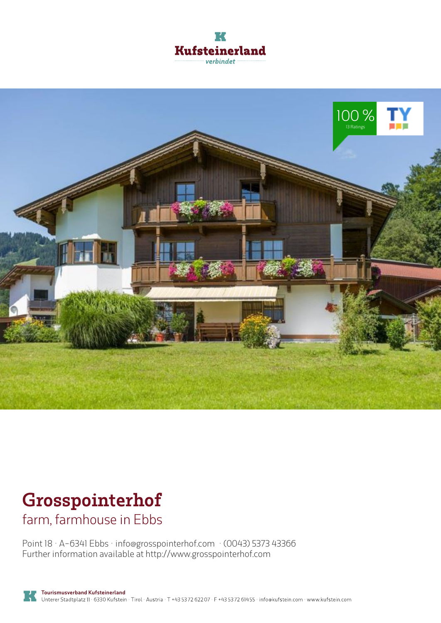



# **Grosspointerhof**

farm, farmhouse in Ebbs

Point 18 · A-6341 Ebbs · **info@grosspointerhof.com** · **(0043) 5373 43366** Further information available at **http://www.grosspointerhof.com**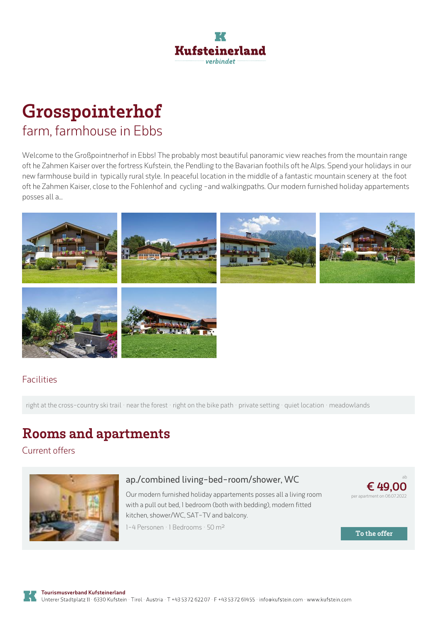

## **Grosspointerhof** farm, farmhouse in Ebbs

Welcome to the Großpointnerhof in Ebbs! The probably most beautiful panoramic view reaches from the mountain range oft he Zahmen Kaiser over the fortress Kufstein, the Pendling to the Bavarian foothils oft he Alps. Spend your holidays in our new farmhouse buildin typically rural style. In peaceful location in the middle of <sup>a</sup> fantastic mountain scenery at the foot oft he Zahmen Kaiser, close to the Fohlenhof and cycling -and walkingpaths. Our modern furnished holiday appartements posses all a...



#### Facilities

right at the cross-country ski trail · near the forest · right on the bike path · private setting · quiet location · meadowlands

### **Rooms and apartments**

Current offers



#### **ap./combined [living-bed-room/shower,](https://www.kufstein.com/en/book/ebbs/farm-farmhouse/grosspointerhof.html?utm_medium=PDF&utm_campaign=Vermieter-Prospekt&utm_source=Grosspointerhof) WC**

Our modern furnished holiday appartements posses all <sup>a</sup> living room with <sup>a</sup> pull out bed, 1 bedroom (both with bedding), modern fitted kitchen, shower/WC, SAT-TV and balcony.



ab

**To the offer**

1-4 Personen · 1 Bedrooms · 50 <sup>m</sup><sup>²</sup>